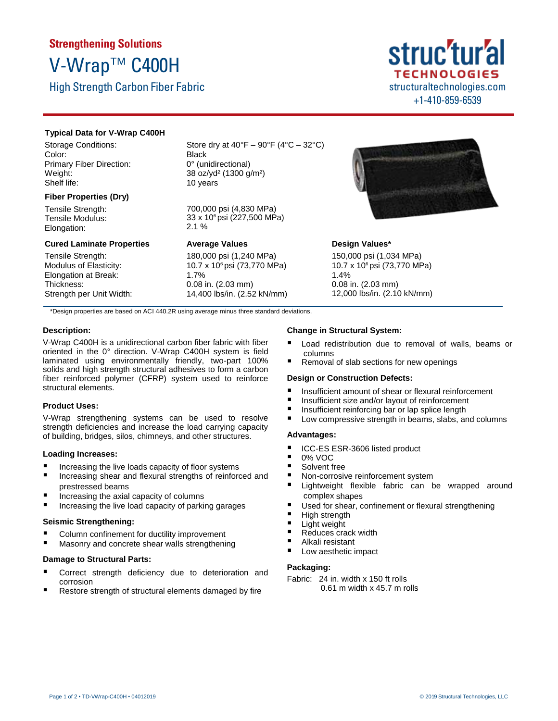# **Strengthening Solutions** V-Wrap™ C400H

High Strength Carbon Fiber Fabric

# **Typical Data for V-Wrap C400H**

Storage Conditions: Color: Primary Fiber Direction: Weight: Shelf life:

# **Fiber Properties (Dry)**

Tensile Strength: Tensile Modulus: Elongation:

#### **Cured Laminate Properties**

Tensile Strength: Modulus of Elasticity: Elongation at Break: Thickness: Strength per Unit Width: Store dry at  $40^{\circ}F - 90^{\circ}F (4^{\circ}C - 32^{\circ}C)$ Black 0° (unidirectional) 38 oz/yd² (1300 g/m²) 10 years

700,000 psi (4,830 MPa) 33 x 106 psi (227,500 MPa) 2.1 %

# **Average Values**

180,000 psi (1,240 MPa) 10.7 x 106 psi (73,770 MPa) 1.7% 0.08 in. (2.03 mm) 14,400 lbs/in. (2.52 kN/mm)



structuraltechnologies.com +1-410-859-6539

**TECHNOLOGIES** 

struc'tur'al

# **Design Values\***

150,000 psi (1,034 MPa) 10.7 x 106 psi (73,770 MPa) 1.4% 0.08 in. (2.03 mm) 12,000 lbs/in. (2.10 kN/mm)

\*Design properties are based on ACI 440.2R using average minus three standard deviations.

# **Description:**

V-Wrap C400H is a unidirectional carbon fiber fabric with fiber oriented in the 0° direction. V-Wrap C400H system is field laminated using environmentally friendly, two-part 100% solids and high strength structural adhesives to form a carbon fiber reinforced polymer (CFRP) system used to reinforce structural elements.

# **Product Uses:**

V-Wrap strengthening systems can be used to resolve strength deficiencies and increase the load carrying capacity of building, bridges, silos, chimneys, and other structures.

# **Loading Increases:**

- Increasing the live loads capacity of floor systems
- Increasing shear and flexural strengths of reinforced and prestressed beams
- Increasing the axial capacity of columns
- Increasing the live load capacity of parking garages

# **Seismic Strengthening:**

- Column confinement for ductility improvement
- Masonry and concrete shear walls strengthening

#### **Damage to Structural Parts:**

- Correct strength deficiency due to deterioration and corrosion
- Restore strength of structural elements damaged by fire

# **Change in Structural System:**

- Load redistribution due to removal of walls, beams or columns
- Removal of slab sections for new openings

# **Design or Construction Defects:**

- Insufficient amount of shear or flexural reinforcement
- Insufficient size and/or layout of reinforcement<br>■ Insufficient reinforcing har or lan splice length
- Insufficient reinforcing bar or lap splice length<br>■ Low compressive strength in beams, slabs, an
- Low compressive strength in beams, slabs, and columns

# **Advantages:**

- ICC-ES ESR-3606 listed product
- $\blacksquare$  0% VOC
- Solvent free
- Non-corrosive reinforcement system
- Lightweight flexible fabric can be wrapped around complex shapes
- Used for shear, confinement or flexural strengthening
- **High strength**
- **Light weight**
- Reduces crack width
- Alkali resistant
- Low aesthetic impact

# **Packaging:**

Fabric: 24 in. width x 150 ft rolls 0.61 m width x 45.7 m rolls